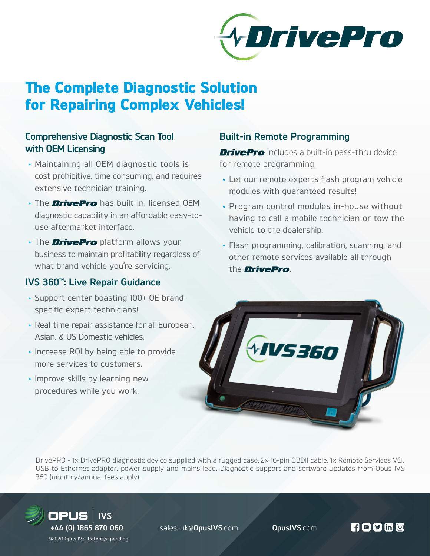

# The Complete Diagnostic Solution for Repairing Complex Vehicles!

## **Comprehensive Diagnostic Scan Tool with OEM Licensing**

- Maintaining all OEM diagnostic tools is cost-prohibitive, time consuming, and requires extensive technician training.
- The **DrivePro** has built-in, licensed OEM diagnostic capability in an affordable easy-touse aftermarket interface.
- The **DrivePro** platform allows your business to maintain profitability regardless of what brand vehicle you're servicing.

### **IVS 360™: Live Repair Guidance**

- Support center boasting 100+ OE brandspecific expert technicians!
- Real-time repair assistance for all European, Asian, & US Domestic vehicles.
- Increase ROI by being able to provide more services to customers.
- Improve skills by learning new procedures while you work.

# **Built-in Remote Programming**

**DrivePro** includes a built-in pass-thru device for remote programming.

- Let our remote experts flash program vehicle modules with guaranteed results!
- Program control modules in-house without having to call a mobile technician or tow the vehicle to the dealership.
- Flash programming, calibration, scanning, and other remote services available all through the *DrivePro*.



DrivePRO - 1x DrivePRO diagnostic device supplied with a rugged case, 2x 16-pin OBDII cable, 1x Remote Services VCI, USB to Ethernet adapter, power supply and mains lead. Diagnostic support and software updates from Opus IVS 360 (monthly/annual fees apply).



 **+44 (0) 1865 870 060** sales-uk@**OpusIVS**.com **OpusIVS**.com

 $H$ o y m  $\odot$